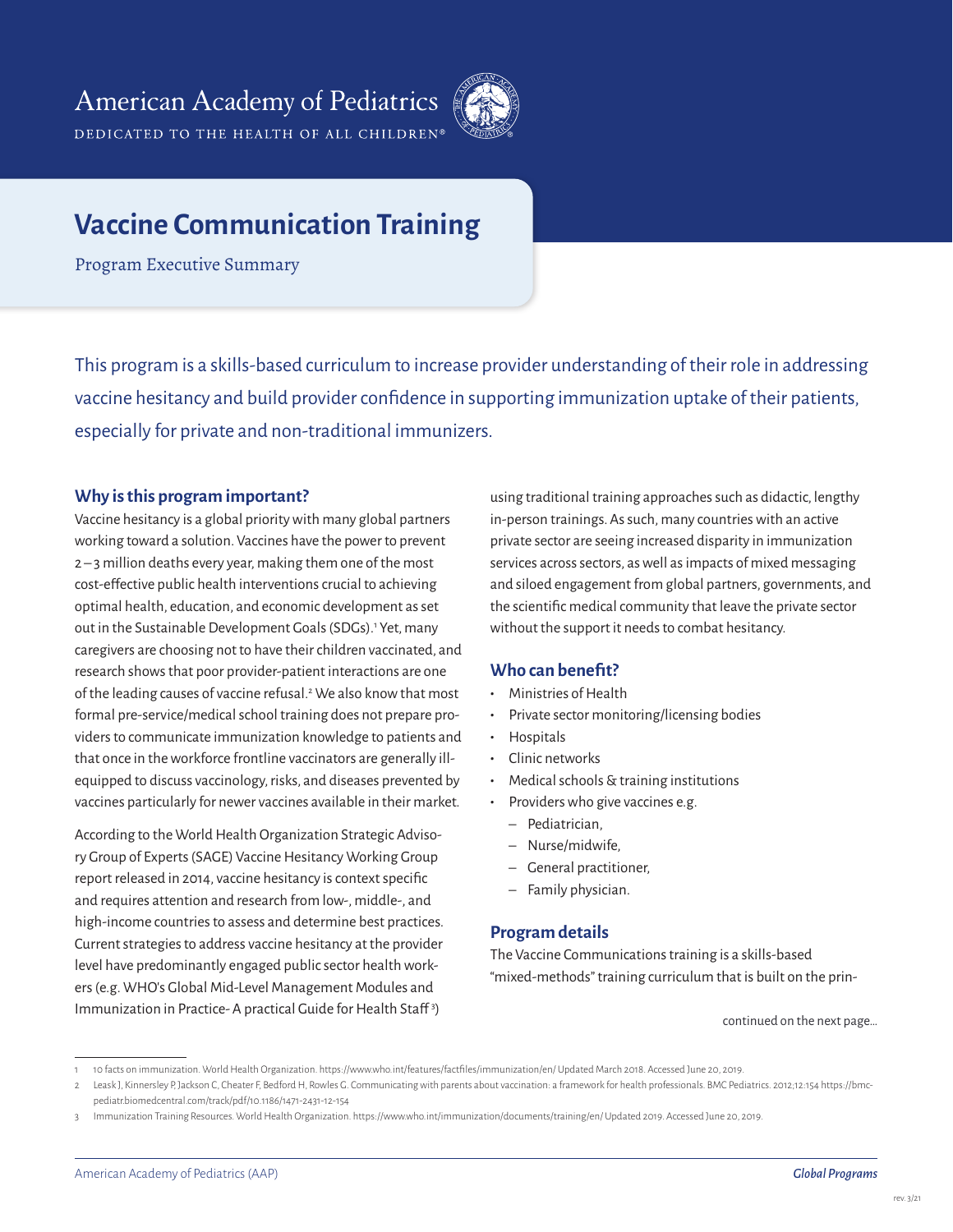DEDICATED TO THE HEALTH OF ALL CHILDREN®



# **Vaccine Communication Training**

Program Executive Summary

This program is a skills-based curriculum to increase provider understanding of their role in addressing vaccine hesitancy and build provider confidence in supporting immunization uptake of their patients, especially for private and non-traditional immunizers.

### **Why is this program important?**

Vaccine hesitancy is a global priority with many global partners working toward a solution. Vaccines have the power to prevent 2 – 3 million deaths every year, making them one of the most cost-effective public health interventions crucial to achieving optimal health, education, and economic development as set out in the Sustainable Development Goals (SDGs).<sup>1</sup> Yet, many caregivers are choosing not to have their children vaccinated, and research shows that poor provider-patient interactions are one of the leading causes of vaccine refusal.<sup>2</sup> We also know that most formal pre-service/medical school training does not prepare providers to communicate immunization knowledge to patients and that once in the workforce frontline vaccinators are generally illequipped to discuss vaccinology, risks, and diseases prevented by vaccines particularly for newer vaccines available in their market.

According to the World Health Organization Strategic Advisory Group of Experts (SAGE) Vaccine Hesitancy Working Group report released in 2014, vaccine hesitancy is context specific and requires attention and research from low-, middle-, and high-income countries to assess and determine best practices. Current strategies to address vaccine hesitancy at the provider level have predominantly engaged public sector health workers (e.g. WHO's Global Mid-Level Management Modules and Immunization in Practice-A practical Guide for Health Staff<sup>3</sup>)

using traditional training approaches such as didactic, lengthy in-person trainings. As such, many countries with an active private sector are seeing increased disparity in immunization services across sectors, as well as impacts of mixed messaging and siloed engagement from global partners, governments, and the scientific medical community that leave the private sector without the support it needs to combat hesitancy.

## **Who can benefit?**

- **•** Ministries of Health
- **•** Private sector monitoring/licensing bodies
- **•** Hospitals
- **•** Clinic networks
- **•** Medical schools & training institutions
- **•** Providers who give vaccines e.g.
	- Pediatrician,
	- Nurse/midwife,
	- General practitioner,
	- Family physician.

### **Program details**

The Vaccine Communications training is a skills-based "mixed-methods" training curriculum that is built on the prin-

continued on the next page…

<sup>1 10</sup> facts on immunization. World Health Organization. https://www.who.int/features/factfiles/immunization/en/ Updated March 2018. Accessed June 20, 2019.

<sup>2</sup> Leask J, Kinnersley P, Jackson C, Cheater F, Bedford H, Rowles G. Communicating with parents about vaccination: a framework for health professionals. BMC Pediatrics. 2012;12:154 https://bmcpediatr.biomedcentral.com/track/pdf/10.1186/1471-2431-12-154

Immunization Training Resources. World Health Organization. https://www.who.int/immunization/documents/training/en/ Updated 2019. Accessed June 20, 2019.